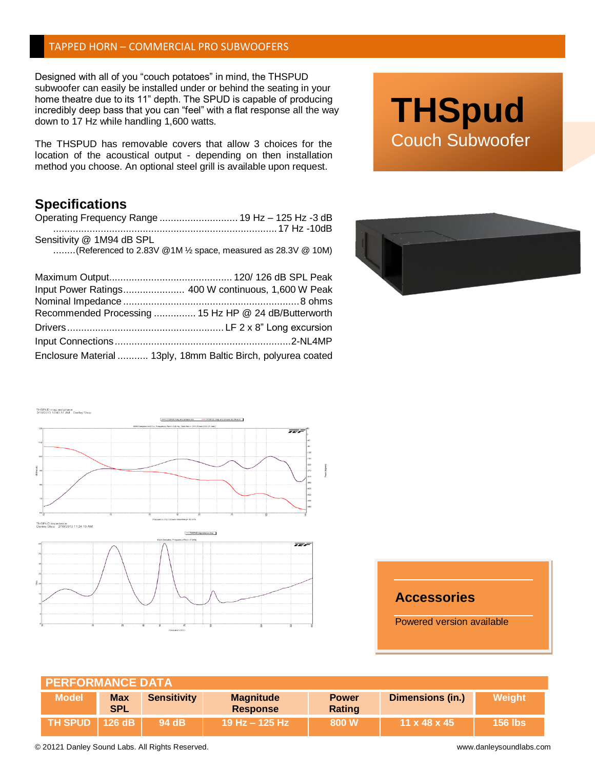## TAPPED HORN – COMMERCIAL PRO SUBWOOFERS

Designed with all of you "couch potatoes" in mind, the THSPUD subwoofer can easily be installed under or behind the seating in your home theatre due to its 11" depth. The SPUD is capable of producing incredibly deep bass that you can "feel" with a flat response all the way down to 17 Hz while handling 1,600 watts.

The THSPUD has removable covers that allow 3 choices for the location of the acoustical output - depending on then installation method you choose. An optional steel grill is available upon request.

## **Specifications**

| Operating Frequency Range  19 Hz - 125 Hz -3 dB              |  |
|--------------------------------------------------------------|--|
|                                                              |  |
| Sensitivity @ 1M94 dB SPL                                    |  |
| (Referenced to 2.83V @1M 1/2 space, measured as 28.3V @ 10M) |  |

| Input Power Ratings 400 W continuous, 1,600 W Peak            |  |
|---------------------------------------------------------------|--|
|                                                               |  |
| Recommended Processing  15 Hz HP @ 24 dB/Butterworth          |  |
|                                                               |  |
|                                                               |  |
| Enclosure Material  13ply, 18mm Baltic Birch, polyurea coated |  |







## **Accessories**

Powered version available

| <b>PERFORMANCE DATA</b> |                          |                    |                                     |                        |                          |                |  |  |
|-------------------------|--------------------------|--------------------|-------------------------------------|------------------------|--------------------------|----------------|--|--|
| <b>Model</b>            | <b>Max</b><br><b>SPL</b> | <b>Sensitivity</b> | <b>Magnitude</b><br><b>Response</b> | <b>Power</b><br>Rating | <b>Dimensions (in.)</b>  | Weight         |  |  |
| <b>TH SPUD   126 dB</b> |                          | 94 dB              | 19 Hz – 125 Hz \                    | 800 W                  | $11 \times 48 \times 45$ | <b>156 lbs</b> |  |  |